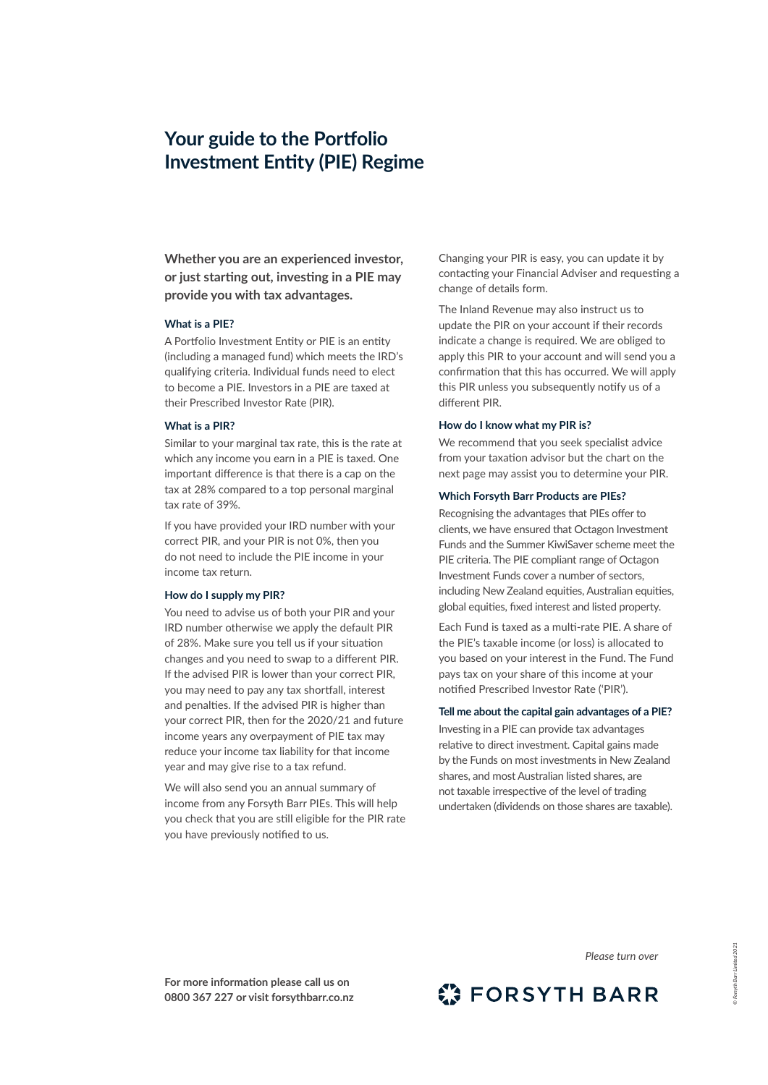# **Your guide to the Portfolio Investment Entity (PIE) Regime**

**Whether you are an experienced investor, or just starting out, investing in a PIE may provide you with tax advantages.**

## **What is a PIE?**

A Portfolio Investment Entity or PIE is an entity (including a managed fund) which meets the IRD's qualifying criteria. Individual funds need to elect to become a PIE. Investors in a PIE are taxed at their Prescribed Investor Rate (PIR).

#### **What is a PIR?**

Similar to your marginal tax rate, this is the rate at which any income you earn in a PIE is taxed. One important difference is that there is a cap on the tax at 28% compared to a top personal marginal tax rate of 39%.

If you have provided your IRD number with your correct PIR, and your PIR is not 0%, then you do not need to include the PIE income in your income tax return.

#### **How do I supply my PIR?**

You need to advise us of both your PIR and your IRD number otherwise we apply the default PIR of 28%. Make sure you tell us if your situation changes and you need to swap to a different PIR. If the advised PIR is lower than your correct PIR, you may need to pay any tax shortfall, interest and penalties. If the advised PIR is higher than your correct PIR, then for the 2020/21 and future income years any overpayment of PIE tax may reduce your income tax liability for that income year and may give rise to a tax refund.

We will also send you an annual summary of income from any Forsyth Barr PIEs. This will help you check that you are still eligible for the PIR rate you have previously notified to us.

Changing your PIR is easy, you can update it by contacting your Financial Adviser and requesting a change of details form.

The Inland Revenue may also instruct us to update the PIR on your account if their records indicate a change is required. We are obliged to apply this PIR to your account and will send you a confirmation that this has occurred. We will apply this PIR unless you subsequently notify us of a different PIR.

#### **How do I know what my PIR is?**

We recommend that you seek specialist advice from your taxation advisor but the chart on the next page may assist you to determine your PIR.

#### **Which Forsyth Barr Products are PIEs?**

Recognising the advantages that PIEs offer to clients, we have ensured that Octagon Investment Funds and the Summer KiwiSaver scheme meet the PIE criteria. The PIE compliant range of Octagon Investment Funds cover a number of sectors, including New Zealand equities, Australian equities, global equities, fixed interest and listed property.

Each Fund is taxed as a multi-rate PIE. A share of the PIE's taxable income (or loss) is allocated to you based on your interest in the Fund. The Fund pays tax on your share of this income at your notified Prescribed Investor Rate ('PIR').

# **Tell me about the capital gain advantages of a PIE?**

Investing in a PIE can provide tax advantages relative to direct investment. Capital gains made by the Funds on most investments in New Zealand shares, and most Australian listed shares, are not taxable irrespective of the level of trading undertaken (dividends on those shares are taxable).

**For more information please call us on 0800 367 227 or visit forsythbarr.co.nz**